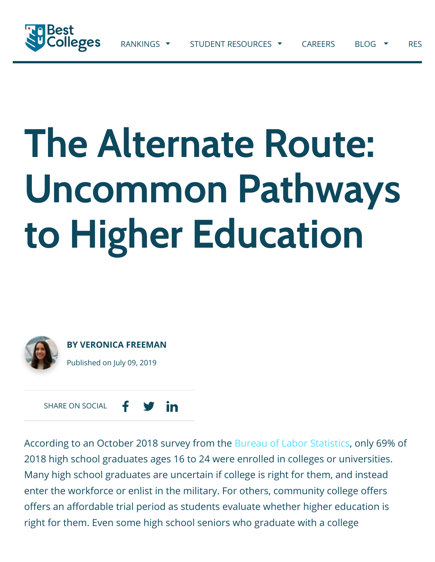

# **The Alternate Route: Uncommon Pathways to Higher Education..**



**[BY VERONICA FREEMAN](https://www.bestcolleges.com/blog/contributors/veronica-freeman/)** Published on July 09, 2019

in SHARE ON SOCIAL

According to an October 2018 survey from the [Bureau of Labor Statistics](https://www.bls.gov/news.release/hsgec.nr0.htm), only 69% of 2018 high school graduates ages 16 to 24 were enrolled in colleges or universities. Many high school graduates are uncertain if college is right for them, and instead enter the workforce or enlist in the military. For others, community college offers offers an affordable trial period as students evaluate whether higher education is right for them. Even some high school seniors who graduate with a college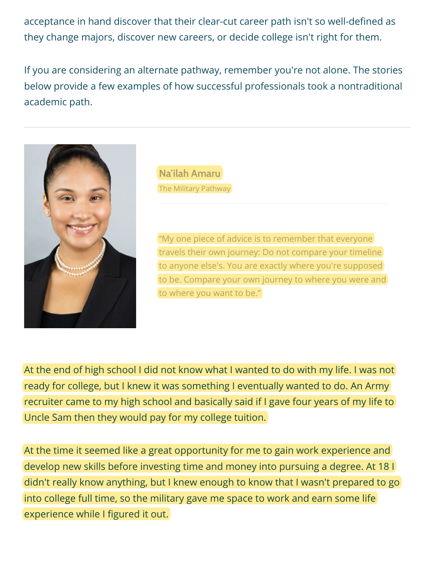acceptance in hand discover that their clear-cut career path isn't so well-defined as they change majors, discover new careers, or decide college isn't right for them.

If you are considering an alternate pathway, remember you're not alone. The stories below provide a few examples of how successful professionals took a nontraditional academic path.



**Na'ilah Amaru** The Military Pathway

"My one piece of advice is to remember that everyone travels their own journey: Do not compare your timeline to anyone else's. You are exactly where you're supposed to be. Compare your own journey to where you were and to where you want to be."

At the end of high school I did not know what I wanted to do with my life. I was not ready for college, but I knew it was something I eventually wanted to do. An Army recruiter came to my high school and basically said if I gave four years of my life to Uncle Sam then they would pay for my college tuition.

At the time it seemed like a great opportunity for me to gain work experience and develop new skills before investing time and money into pursuing a degree. At 18 I didn't really know anything, but I knew enough to know that I wasn't prepared to go into college full time, so the military gave me space to work and earn some life experience while I figured it out.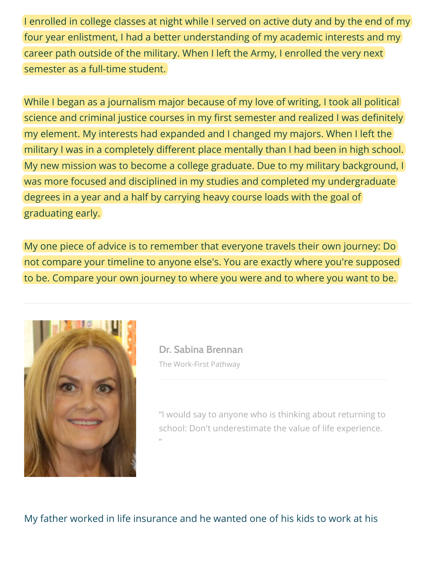I enrolled in college classes at night while I served on active duty and by the end of my four year enlistment, I had a better understanding of my academic interests and my career path outside of the military. When I left the Army, I enrolled the very next semester as a full-time student.

While I began as a journalism major because of my love of writing, I took all political science and criminal justice courses in my first semester and realized I was definitely my element. My interests had expanded and I changed my majors. When I left the military I was in a completely different place mentally than I had been in high school. My new mission was to become a college graduate. Due to my military background, I was more focused and disciplined in my studies and completed my undergraduate degrees in a year and a half by carrying heavy course loads with the goal of graduating early.

My one piece of advice is to remember that everyone travels their own journey: Do not compare your timeline to anyone else's. You are exactly where you're supposed to be. Compare your own journey to where you were and to where you want to be.



**Dr. Sabina Brennan** The Work-First Pathway

"I would say to anyone who is thinking about returning to school: Don't underestimate the value of life experience. "

My father worked in life insurance and he wanted one of his kids to work at his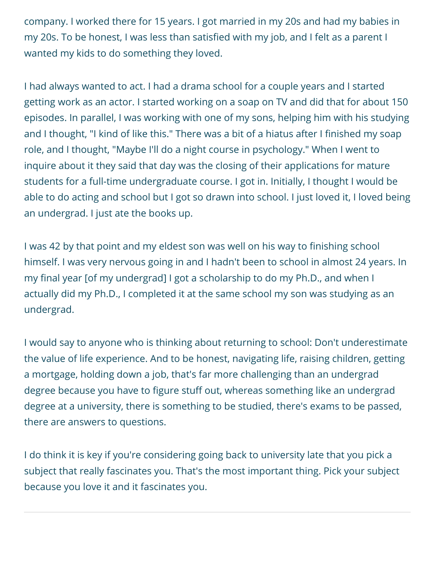company. I worked there for 15 years. I got married in my 20s and had my babies in my 20s. To be honest, I was less than satisfied with my job, and I felt as a parent I wanted my kids to do something they loved.

I had always wanted to act. I had a drama school for a couple years and I started getting work as an actor. I started working on a soap on TV and did that for about 150 episodes. In parallel, I was working with one of my sons, helping him with his studying and I thought, "I kind of like this." There was a bit of a hiatus after I finished my soap role, and I thought, "Maybe I'll do a night course in psychology." When I went to inquire about it they said that day was the closing of their applications for mature students for a full-time undergraduate course. I got in. Initially, I thought I would be able to do acting and school but I got so drawn into school. I just loved it, I loved being an undergrad. I just ate the books up.

I was 42 by that point and my eldest son was well on his way to finishing school himself. I was very nervous going in and I hadn't been to school in almost 24 years. In my final year [of my undergrad] I got a scholarship to do my Ph.D., and when I actually did my Ph.D., I completed it at the same school my son was studying as an undergrad.

I would say to anyone who is thinking about returning to school: Don't underestimate the value of life experience. And to be honest, navigating life, raising children, getting a mortgage, holding down a job, that's far more challenging than an undergrad degree because you have to figure stuff out, whereas something like an undergrad degree at a university, there is something to be studied, there's exams to be passed, there are answers to questions.

I do think it is key if you're considering going back to university late that you pick a subject that really fascinates you. That's the most important thing. Pick your subject because you love it and it fascinates you.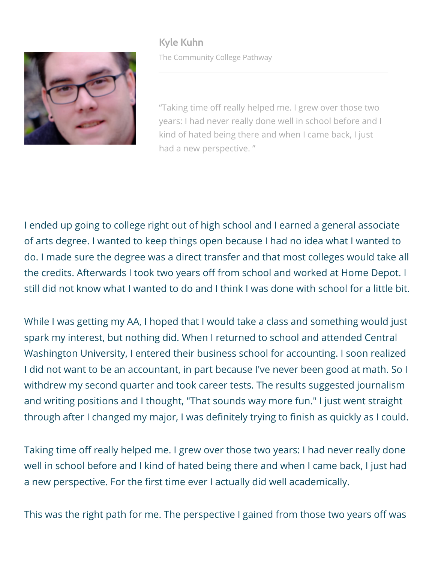**Kyle Kuhn** The Community College Pathway



"Taking time off really helped me. I grew over those two years: I had never really done well in school before and I kind of hated being there and when I came back, I just had a new perspective. "

I ended up going to college right out of high school and I earned a general associate of arts degree. I wanted to keep things open because I had no idea what I wanted to do. I made sure the degree was a direct transfer and that most colleges would take all the credits. Afterwards I took two years off from school and worked at Home Depot. I still did not know what I wanted to do and I think I was done with school for a little bit.

While I was getting my AA, I hoped that I would take a class and something would just spark my interest, but nothing did. When I returned to school and attended Central Washington University, I entered their business school for accounting. I soon realized I did not want to be an accountant, in part because I've never been good at math. So I withdrew my second quarter and took career tests. The results suggested journalism and writing positions and I thought, "That sounds way more fun." I just went straight through after I changed my major, I was definitely trying to finish as quickly as I could.

Taking time off really helped me. I grew over those two years: I had never really done well in school before and I kind of hated being there and when I came back, I just had a new perspective. For the first time ever I actually did well academically.

This was the right path for me. The perspective I gained from those two years off was